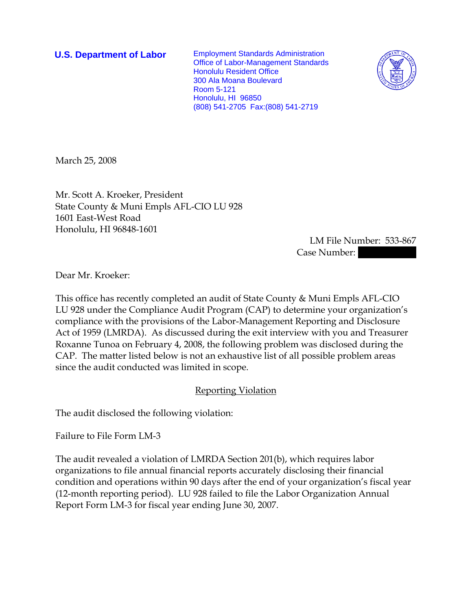**U.S. Department of Labor** Employment Standards Administration Office of Labor-Management Standards Honolulu Resident Office 300 Ala Moana Boulevard Room 5-121 Honolulu, HI 96850 (808) 541-2705 Fax:(808) 541-2719



March 25, 2008

Mr. Scott A. Kroeker, President State County & Muni Empls AFL-CIO LU 928 1601 East-West Road Honolulu, HI 96848-1601

> LM File Number: 533-867 Case Number:

Dear Mr. Kroeker:

This office has recently completed an audit of State County & Muni Empls AFL-CIO LU 928 under the Compliance Audit Program (CAP) to determine your organization's compliance with the provisions of the Labor-Management Reporting and Disclosure Act of 1959 (LMRDA). As discussed during the exit interview with you and Treasurer Roxanne Tunoa on February 4, 2008, the following problem was disclosed during the CAP. The matter listed below is not an exhaustive list of all possible problem areas since the audit conducted was limited in scope.

## Reporting Violation

The audit disclosed the following violation:

Failure to File Form LM-3

The audit revealed a violation of LMRDA Section 201(b), which requires labor organizations to file annual financial reports accurately disclosing their financial condition and operations within 90 days after the end of your organization's fiscal year (12-month reporting period). LU 928 failed to file the Labor Organization Annual Report Form LM-3 for fiscal year ending June 30, 2007.